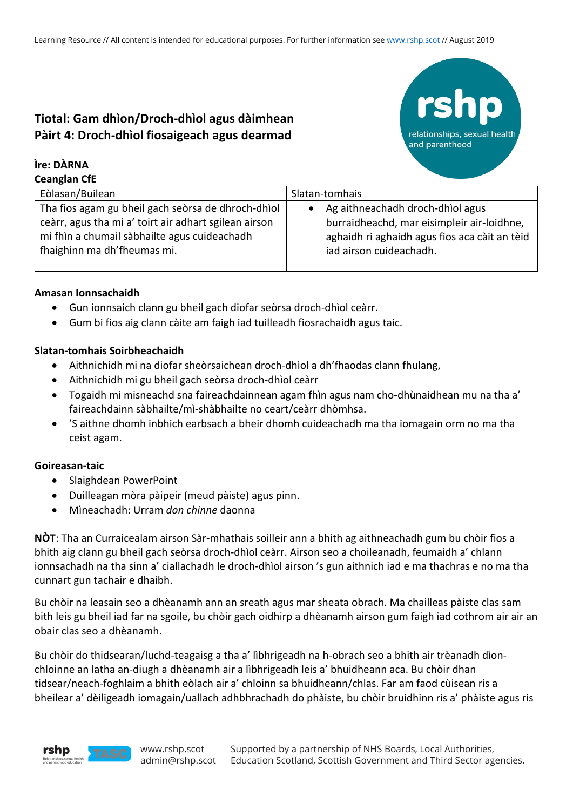# **Tiotal: Gam dhìon/Droch-dhìol agus dàimhean Pàirt 4: Droch-dhìol fiosaigeach agus dearmad**

#### **Ìre: DÀRNA Ceanglan CfE**

| Ceangian Cit                                          |                                               |
|-------------------------------------------------------|-----------------------------------------------|
| Eòlasan/Builean                                       | Slatan-tomhais                                |
| Tha fios agam gu bheil gach seòrsa de dhroch-dhìol    | Ag aithneachadh droch-dhìol agus              |
| ceàrr, agus tha mi a' toirt air adhart sgilean airson | burraidheachd, mar eisimpleir air-loidhne,    |
| mi fhìn a chumail sàbhailte agus cuideachadh          | aghaidh ri aghaidh agus fios aca càit an tèid |
| fhaighinn ma dh'fheumas mi.                           | iad airson cuideachadh.                       |
|                                                       |                                               |

relationships, sexual health

and parenthood

#### **Amasan Ionnsachaidh**

- Gun ionnsaich clann gu bheil gach diofar seòrsa droch-dhìol ceàrr.
- Gum bi fios aig clann càite am faigh iad tuilleadh fiosrachaidh agus taic.

#### **Slatan-tomhais Soirbheachaidh**

- Aithnichidh mi na diofar sheòrsaichean droch-dhìol a dh'fhaodas clann fhulang,
- Aithnichidh mi gu bheil gach seòrsa droch-dhìol ceàrr
- Togaidh mi misneachd sna faireachdainnean agam fhìn agus nam cho-dhùnaidhean mu na tha a' faireachdainn sàbhailte/mì-shàbhailte no ceart/ceàrr dhòmhsa.
- 'S aithne dhomh inbhich earbsach a bheir dhomh cuideachadh ma tha iomagain orm no ma tha ceist agam.

## **Goireasan-taic**

- Slaighdean PowerPoint
- Duilleagan mòra pàipeir (meud pàiste) agus pinn.
- Mìneachadh: Urram *don chinne* daonna

**NÒT**: Tha an Curraicealam airson Sàr-mhathais soilleir ann a bhith ag aithneachadh gum bu chòir fios a bhith aig clann gu bheil gach seòrsa droch-dhìol ceàrr. Airson seo a choileanadh, feumaidh a' chlann ionnsachadh na tha sinn a' ciallachadh le droch-dhìol airson 's gun aithnich iad e ma thachras e no ma tha cunnart gun tachair e dhaibh.

Bu chòir na leasain seo a dhèanamh ann an sreath agus mar sheata obrach. Ma chailleas pàiste clas sam bith leis gu bheil iad far na sgoile, bu chòir gach oidhirp a dhèanamh airson gum faigh iad cothrom air air an obair clas seo a dhèanamh.

Bu chòir do thidsearan/luchd-teagaisg a tha a' lìbhrigeadh na h-obrach seo a bhith air trèanadh dìonchloinne an latha an-diugh a dhèanamh air a lìbhrigeadh leis a' bhuidheann aca. Bu chòir dhan tidsear/neach-foghlaim a bhith eòlach air a' chloinn sa bhuidheann/chlas. Far am faod cùisean ris a bheilear a' dèiligeadh iomagain/uallach adhbhrachadh do phàiste, bu chòir bruidhinn ris a' phàiste agus ris

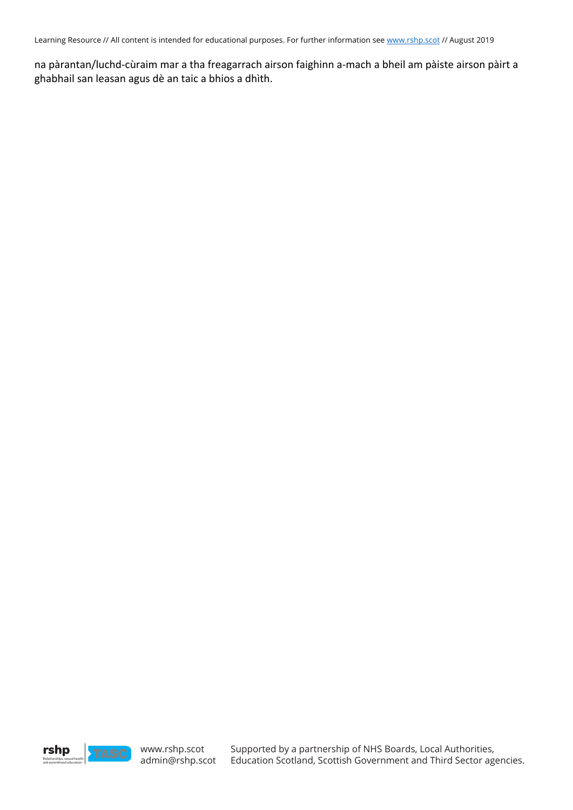Learning Resource // All content is intended for educational purposes. For further information see www.rshp.scot // August 2019

na pàrantan/luchd-cùraim mar a tha freagarrach airson faighinn a-mach a bheil am pàiste airson pàirt a ghabhail san leasan agus dè an taic a bhios a dhìth.

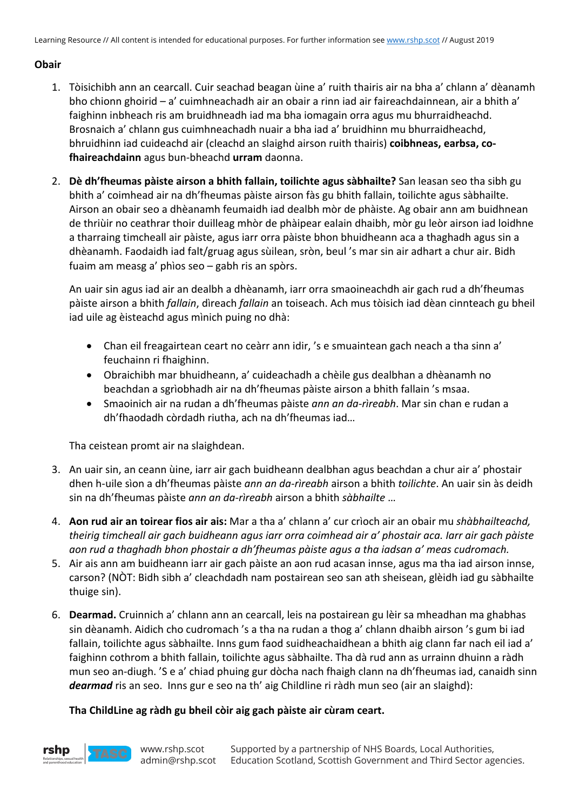## **Obair**

- 1. Tòisichibh ann an cearcall. Cuir seachad beagan ùine a' ruith thairis air na bha a' chlann a' dèanamh bho chionn ghoirid – a' cuimhneachadh air an obair a rinn iad air faireachdainnean, air a bhith a' faighinn inbheach ris am bruidhneadh iad ma bha iomagain orra agus mu bhurraidheachd. Brosnaich a' chlann gus cuimhneachadh nuair a bha iad a' bruidhinn mu bhurraidheachd, bhruidhinn iad cuideachd air (cleachd an slaighd airson ruith thairis) **coibhneas, earbsa, cofhaireachdainn** agus bun-bheachd **urram** daonna.
- 2. **Dè dh'fheumas pàiste airson a bhith fallain, toilichte agus sàbhailte?** San leasan seo tha sibh gu bhith a' coimhead air na dh'fheumas pàiste airson fàs gu bhith fallain, toilichte agus sàbhailte. Airson an obair seo a dhèanamh feumaidh iad dealbh mòr de phàiste. Ag obair ann am buidhnean de thriùir no ceathrar thoir duilleag mhòr de phàipear ealain dhaibh, mòr gu leòr airson iad loidhne a tharraing timcheall air pàiste, agus iarr orra pàiste bhon bhuidheann aca a thaghadh agus sin a dhèanamh. Faodaidh iad falt/gruag agus sùilean, sròn, beul 's mar sin air adhart a chur air. Bidh fuaim am measg a' phìos seo – gabh ris an spòrs.

An uair sin agus iad air an dealbh a dhèanamh, iarr orra smaoineachdh air gach rud a dh'fheumas pàiste airson a bhith *fallain*, dìreach *fallain* an toiseach. Ach mus tòisich iad dèan cinnteach gu bheil iad uile ag èisteachd agus mìnich puing no dhà:

- Chan eil freagairtean ceart no ceàrr ann idir, 's e smuaintean gach neach a tha sinn a' feuchainn ri fhaighinn.
- Obraichibh mar bhuidheann, a' cuideachadh a chèile gus dealbhan a dhèanamh no beachdan a sgrìobhadh air na dh'fheumas pàiste airson a bhith fallain 's msaa.
- Smaoinich air na rudan a dh'fheumas pàiste *ann an da-rìreabh*. Mar sin chan e rudan a dh'fhaodadh còrdadh riutha, ach na dh'fheumas iad…

Tha ceistean promt air na slaighdean.

- 3. An uair sin, an ceann ùine, iarr air gach buidheann dealbhan agus beachdan a chur air a' phostair dhen h-uile sìon a dh'fheumas pàiste *ann an da-rìreabh* airson a bhith *toilichte*. An uair sin às deidh sin na dh'fheumas pàiste *ann an da-rìreabh* airson a bhith *sàbhailte* …
- 4. **Aon rud air an toirear fios air ais:** Mar a tha a' chlann a' cur crìoch air an obair mu *shàbhailteachd, theirig timcheall air gach buidheann agus iarr orra coimhead air a' phostair aca. Iarr air gach pàiste aon rud a thaghadh bhon phostair a dh'fheumas pàiste agus a tha iadsan a' meas cudromach.*
- 5. Air ais ann am buidheann iarr air gach pàiste an aon rud acasan innse, agus ma tha iad airson innse, carson? (NÒT: Bidh sibh a' cleachdadh nam postairean seo san ath sheisean, glèidh iad gu sàbhailte thuige sin).
- 6. **Dearmad.** Cruinnich a' chlann ann an cearcall, leis na postairean gu lèir sa mheadhan ma ghabhas sin dèanamh. Aidich cho cudromach 's a tha na rudan a thog a' chlann dhaibh airson 's gum bi iad fallain, toilichte agus sàbhailte. Inns gum faod suidheachaidhean a bhith aig clann far nach eil iad a' faighinn cothrom a bhith fallain, toilichte agus sàbhailte. Tha dà rud ann as urrainn dhuinn a ràdh mun seo an-diugh. 'S e a' chiad phuing gur dòcha nach fhaigh clann na dh'fheumas iad, canaidh sinn *dearmad* ris an seo. Inns gur e seo na th' aig Childline ri ràdh mun seo (air an slaighd):

## **Tha ChildLine ag ràdh gu bheil còir aig gach pàiste air cùram ceart.**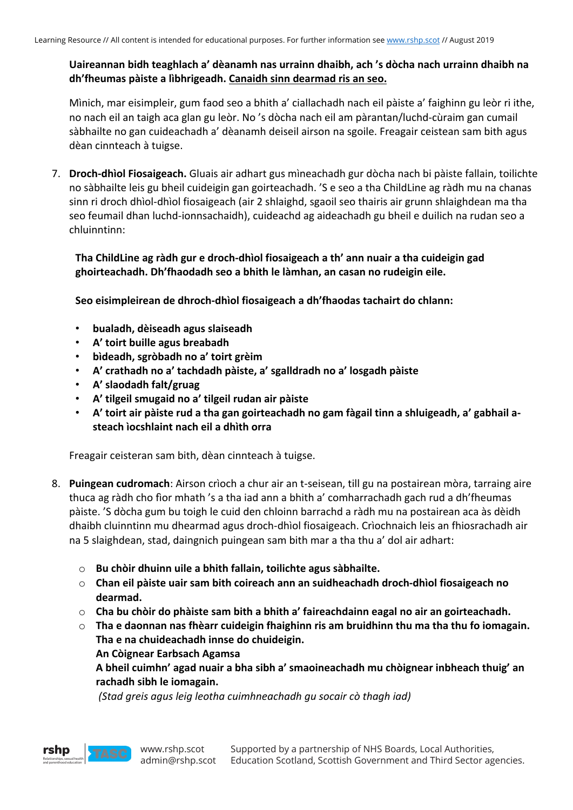## **Uaireannan bidh teaghlach a' dèanamh nas urrainn dhaibh, ach 's dòcha nach urrainn dhaibh na dh'fheumas pàiste a lìbhrigeadh. Canaidh sinn dearmad ris an seo.**

Mìnich, mar eisimpleir, gum faod seo a bhith a' ciallachadh nach eil pàiste a' faighinn gu leòr ri ithe, no nach eil an taigh aca glan gu leòr. No 's dòcha nach eil am pàrantan/luchd-cùraim gan cumail sàbhailte no gan cuideachadh a' dèanamh deiseil airson na sgoile. Freagair ceistean sam bith agus dèan cinnteach à tuigse.

7. **Droch-dhìol Fiosaigeach.** Gluais air adhart gus mìneachadh gur dòcha nach bi pàiste fallain, toilichte no sàbhailte leis gu bheil cuideigin gan goirteachadh. 'S e seo a tha ChildLine ag ràdh mu na chanas sinn ri droch dhìol-dhìol fiosaigeach (air 2 shlaighd, sgaoil seo thairis air grunn shlaighdean ma tha seo feumail dhan luchd-ionnsachaidh), cuideachd ag aideachadh gu bheil e duilich na rudan seo a chluinntinn:

## **Tha ChildLine ag ràdh gur e droch-dhìol fiosaigeach a th' ann nuair a tha cuideigin gad ghoirteachadh. Dh'fhaodadh seo a bhith le làmhan, an casan no rudeigin eile.**

**Seo eisimpleirean de dhroch-dhìol fiosaigeach a dh'fhaodas tachairt do chlann:**

- **bualadh, dèiseadh agus slaiseadh**
- **A' toirt buille agus breabadh**
- **bìdeadh, sgròbadh no a' toirt grèim**
- **A' crathadh no a' tachdadh pàiste, a' sgalldradh no a' losgadh pàiste**
- **A' slaodadh falt/gruag**
- **A' tilgeil smugaid no a' tilgeil rudan air pàiste**
- **A' toirt air pàiste rud a tha gan goirteachadh no gam fàgail tinn a shluigeadh, a' gabhail asteach ìocshlaint nach eil a dhìth orra**

Freagair ceisteran sam bith, dèan cinnteach à tuigse.

- 8. **Puingean cudromach**: Airson crìoch a chur air an t-seisean, till gu na postairean mòra, tarraing aire thuca ag ràdh cho fìor mhath 's a tha iad ann a bhith a' comharrachadh gach rud a dh'fheumas pàiste. 'S dòcha gum bu toigh le cuid den chloinn barrachd a ràdh mu na postairean aca às dèidh dhaibh cluinntinn mu dhearmad agus droch-dhìol fiosaigeach. Crìochnaich leis an fhiosrachadh air na 5 slaighdean, stad, daingnich puingean sam bith mar a tha thu a' dol air adhart:
	- o **Bu chòir dhuinn uile a bhith fallain, toilichte agus sàbhailte.**
	- o **Chan eil pàiste uair sam bith coireach ann an suidheachadh droch-dhìol fiosaigeach no dearmad.**
	- o **Cha bu chòir do phàiste sam bith a bhith a' faireachdainn eagal no air an goirteachadh.**
	- o **Tha e daonnan nas fhèarr cuideigin fhaighinn ris am bruidhinn thu ma tha thu fo iomagain. Tha e na chuideachadh innse do chuideigin. An Còignear Earbsach Agamsa**

**A bheil cuimhn' agad nuair a bha sibh a' smaoineachadh mu chòignear inbheach thuig' an rachadh sibh le iomagain.** 

*(Stad greis agus leig leotha cuimhneachadh gu socair cò thagh iad)* 

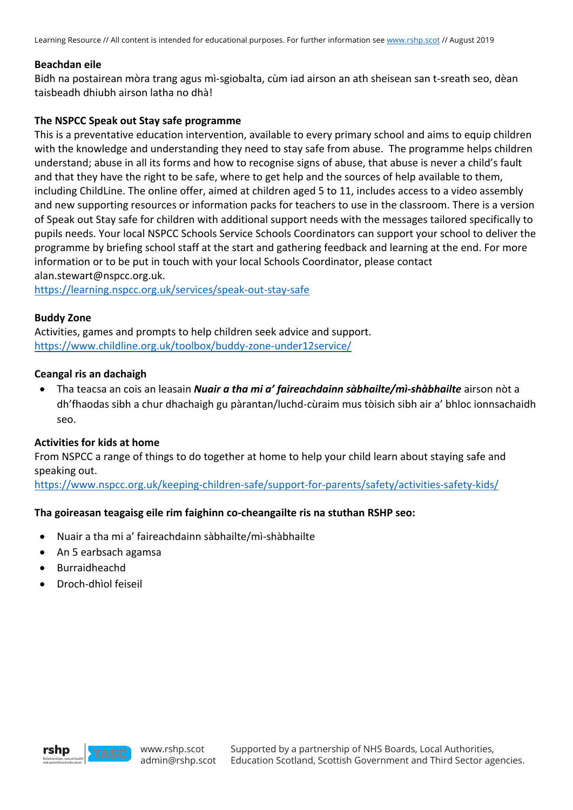Learning Resource // All content is intended for educational purposes. For further information see www.rshp.scot // August 2019

#### **Beachdan eile**

Bidh na postairean mòra trang agus mì-sgiobalta, cùm iad airson an ath sheisean san t-sreath seo, dèan taisbeadh dhiubh airson latha no dhà!

### **The NSPCC Speak out Stay safe programme**

This is a preventative education intervention, available to every primary school and aims to equip children with the knowledge and understanding they need to stay safe from abuse. The programme helps children understand; abuse in all its forms and how to recognise signs of abuse, that abuse is never a child's fault and that they have the right to be safe, where to get help and the sources of help available to them, including ChildLine. The online offer, aimed at children aged 5 to 11, includes access to a video assembly and new supporting resources or information packs for teachers to use in the classroom. There is a version of Speak out Stay safe for children with additional support needs with the messages tailored specifically to pupils needs. Your local NSPCC Schools Service Schools Coordinators can support your school to deliver the programme by briefing school staff at the start and gathering feedback and learning at the end. For more information or to be put in touch with your local Schools Coordinator, please contact alan.stewart@nspcc.org.uk.

https://learning.nspcc.org.uk/services/speak-out-stay-safe

#### **Buddy Zone**

Activities, games and prompts to help children seek advice and support. https://www.childline.org.uk/toolbox/buddy-zone-under12service/

#### **Ceangal ris an dachaigh**

• Tha teacsa an cois an leasain *Nuair a tha mi a' faireachdainn sàbhailte/mì-shàbhailte* airson nòt a dh'fhaodas sibh a chur dhachaigh gu pàrantan/luchd-cùraim mus tòisich sibh air a' bhloc ionnsachaidh seo.

## **Activities for kids at home**

From NSPCC a range of things to do together at home to help your child learn about staying safe and speaking out.

https://www.nspcc.org.uk/keeping-children-safe/support-for-parents/safety/activities-safety-kids/

## **Tha goireasan teagaisg eile rim faighinn co-cheangailte ris na stuthan RSHP seo:**

- Nuair a tha mi a' faireachdainn sàbhailte/mì-shàbhailte
- An 5 earbsach agamsa
- Burraidheachd
- Droch-dhìol feiseil